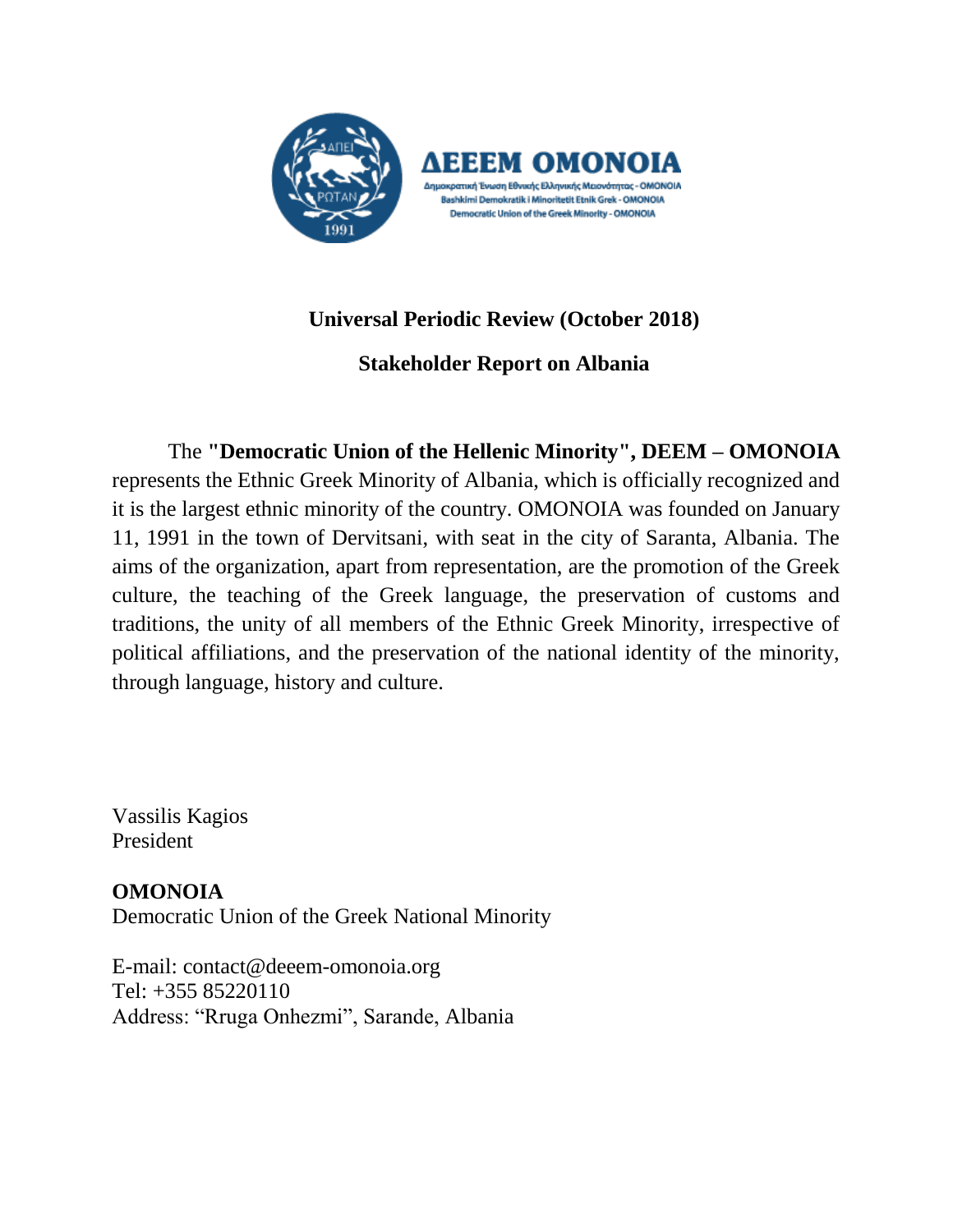

# **Universal Periodic Review (October 2018)**

**Stakeholder Report on Albania**

The **"Democratic Union of the Hellenic Minority", DEEM – OMONOIA** represents the Ethnic Greek Minority of Albania, which is officially recognized and it is the largest ethnic minority of the country. OMONOIA was founded on January 11, 1991 in the town of Dervitsani, with seat in the city of Saranta, Albania. The aims of the organization, apart from representation, are the promotion of the Greek culture, the teaching of the Greek language, the preservation of customs and traditions, the unity of all members of the Ethnic Greek Minority, irrespective of political affiliations, and the preservation of the national identity of the minority, through language, history and culture.

Vassilis Kagios President

**OMONOIA** Democratic Union of the Greek National Minority

E-mail: [contact@deeem-omonoia.org](mailto:contact@deeem-omonoia.org) [Tel: +355 85220110](tel:+35585220110) Address: "Rruga Onhezmi", Sarande, Albania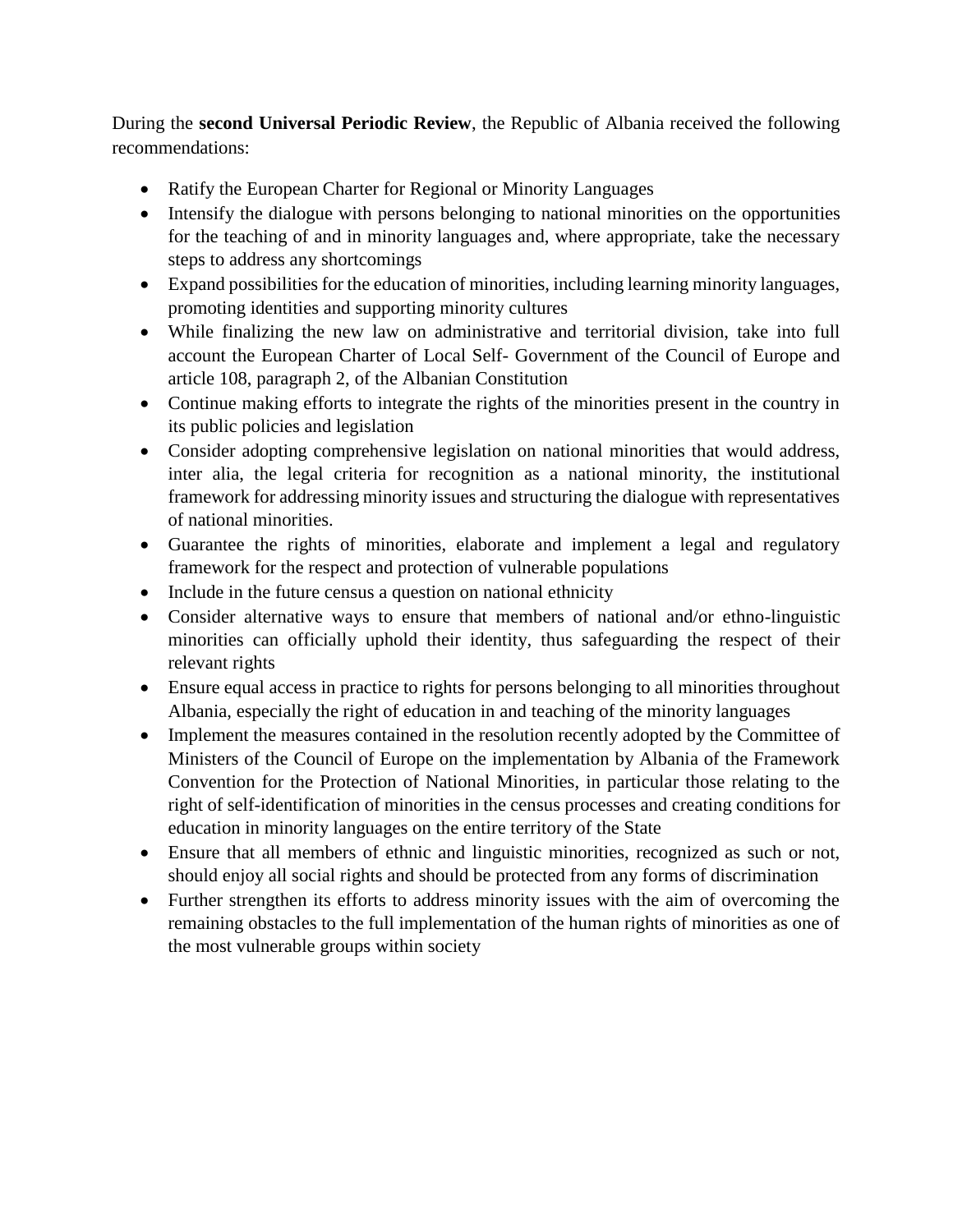During the **second Universal Periodic Review**, the Republic of Albania received the following recommendations:

- Ratify the European Charter for Regional or Minority Languages
- Intensify the dialogue with persons belonging to national minorities on the opportunities for the teaching of and in minority languages and, where appropriate, take the necessary steps to address any shortcomings
- Expand possibilities for the education of minorities, including learning minority languages, promoting identities and supporting minority cultures
- While finalizing the new law on administrative and territorial division, take into full account the European Charter of Local Self- Government of the Council of Europe and article 108, paragraph 2, of the Albanian Constitution
- Continue making efforts to integrate the rights of the minorities present in the country in its public policies and legislation
- Consider adopting comprehensive legislation on national minorities that would address, inter alia, the legal criteria for recognition as a national minority, the institutional framework for addressing minority issues and structuring the dialogue with representatives of national minorities.
- Guarantee the rights of minorities, elaborate and implement a legal and regulatory framework for the respect and protection of vulnerable populations
- Include in the future census a question on national ethnicity
- Consider alternative ways to ensure that members of national and/or ethno-linguistic minorities can officially uphold their identity, thus safeguarding the respect of their relevant rights
- Ensure equal access in practice to rights for persons belonging to all minorities throughout Albania, especially the right of education in and teaching of the minority languages
- Implement the measures contained in the resolution recently adopted by the Committee of Ministers of the Council of Europe on the implementation by Albania of the Framework Convention for the Protection of National Minorities, in particular those relating to the right of self-identification of minorities in the census processes and creating conditions for education in minority languages on the entire territory of the State
- Ensure that all members of ethnic and linguistic minorities, recognized as such or not, should enjoy all social rights and should be protected from any forms of discrimination
- Further strengthen its efforts to address minority issues with the aim of overcoming the remaining obstacles to the full implementation of the human rights of minorities as one of the most vulnerable groups within society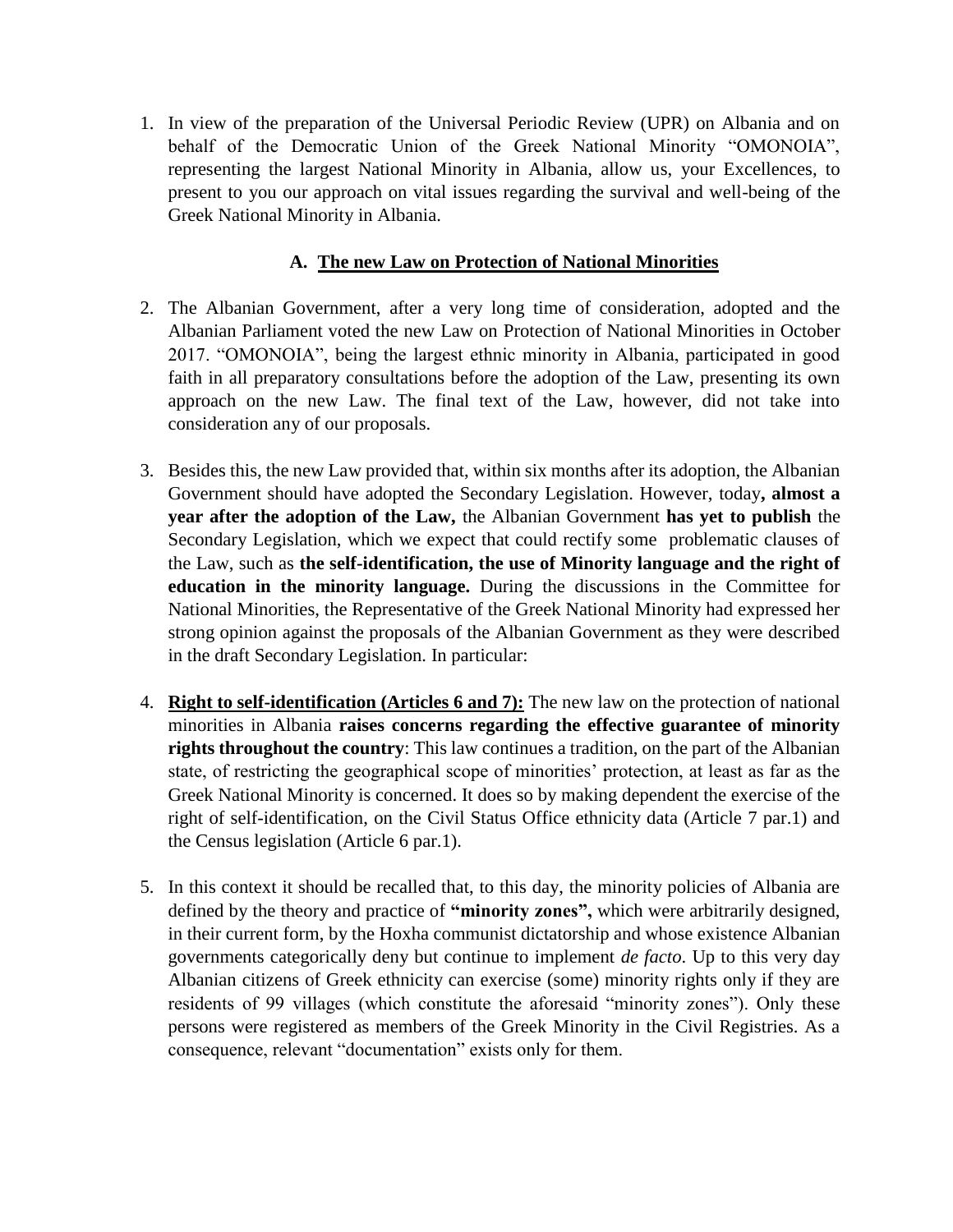1. In view of the preparation of the Universal Periodic Review (UPR) on Albania and on behalf of the Democratic Union of the Greek National Minority "OMONOIA", representing the largest National Minority in Albania, allow us, your Excellences, to present to you our approach on vital issues regarding the survival and well-being of the Greek National Minority in Albania.

## **A. The new Law on Protection of National Minorities**

- 2. The Albanian Government, after a very long time of consideration, adopted and the Albanian Parliament voted the new Law on Protection of National Minorities in October 2017. "OMONOIA", being the largest ethnic minority in Albania, participated in good faith in all preparatory consultations before the adoption of the Law, presenting its own approach on the new Law. The final text of the Law, however, did not take into consideration any of our proposals.
- 3. Besides this, the new Law provided that, within six months after its adoption, the Albanian Government should have adopted the Secondary Legislation. However, today**, almost a year after the adoption of the Law,** the Albanian Government **has yet to publish** the Secondary Legislation, which we expect that could rectify some problematic clauses of the Law, such as **the self-identification, the use of Minority language and the right of education in the minority language.** During the discussions in the Committee for National Minorities, the Representative of the Greek National Minority had expressed her strong opinion against the proposals of the Albanian Government as they were described in the draft Secondary Legislation. In particular:
- 4. **Right to self-identification (Articles 6 and 7):** The new law on the protection of national minorities in Albania **raises concerns regarding the effective guarantee of minority rights throughout the country**: This law continues a tradition, on the part of the Albanian state, of restricting the geographical scope of minorities' protection, at least as far as the Greek National Minority is concerned. It does so by making dependent the exercise of the right of self-identification, on the Civil Status Office ethnicity data (Article 7 par.1) and the Census legislation (Article 6 par.1).
- 5. In this context it should be recalled that, to this day, the minority policies of Albania are defined by the theory and practice of **"minority zones",** which were arbitrarily designed, in their current form, by the Hoxha communist dictatorship and whose existence Albanian governments categorically deny but continue to implement *de facto*. Up to this very day Albanian citizens of Greek ethnicity can exercise (some) minority rights only if they are residents of 99 villages (which constitute the aforesaid "minority zones"). Only these persons were registered as members of the Greek Minority in the Civil Registries. As a consequence, relevant "documentation" exists only for them.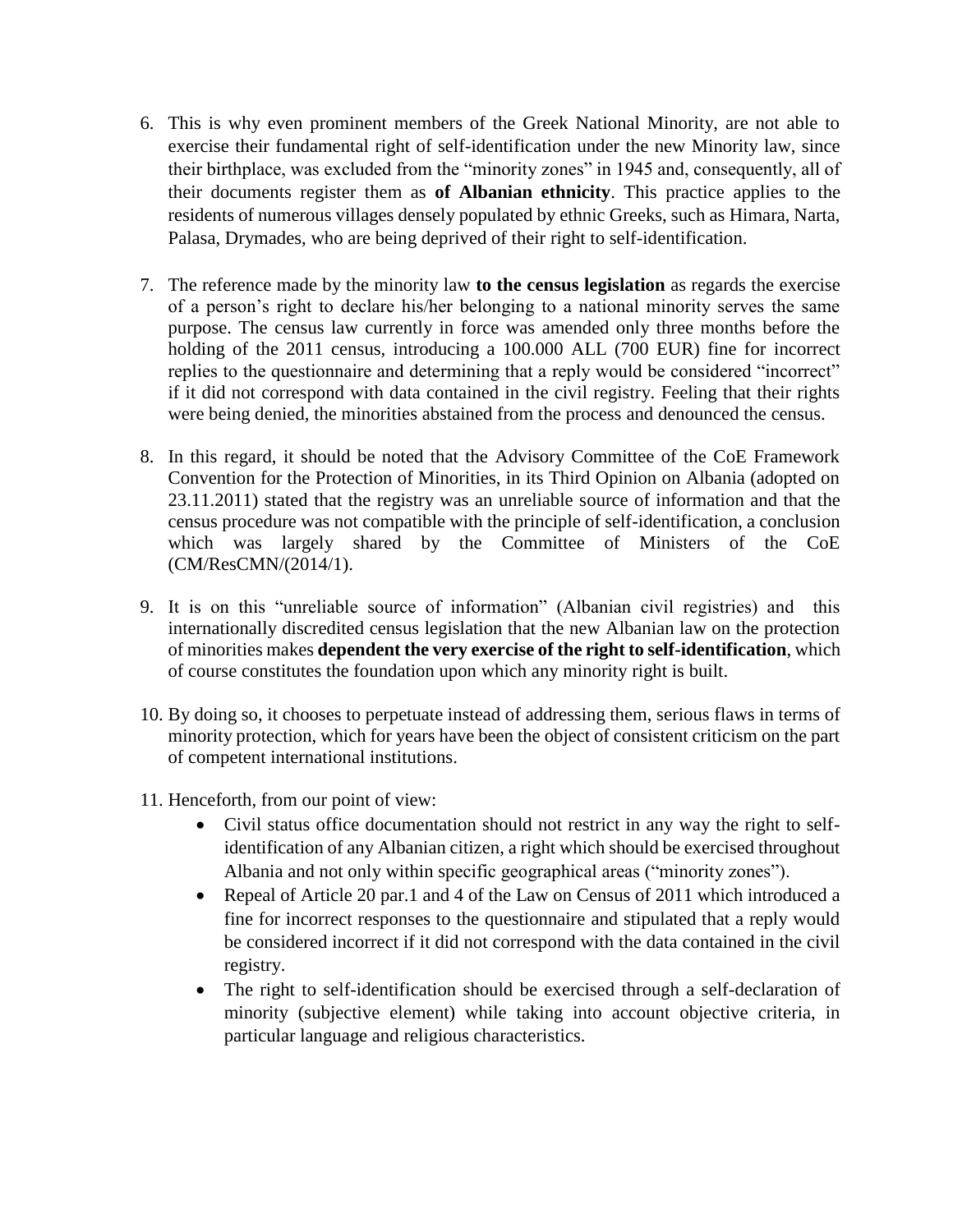- 6. This is why even prominent members of the Greek National Minority, are not able to exercise their fundamental right of self-identification under the new Minority law, since their birthplace, was excluded from the "minority zones" in 1945 and, consequently, all of their documents register them as **of Albanian ethnicity**. This practice applies to the residents of numerous villages densely populated by ethnic Greeks, such as Himara, Narta, Palasa, Drymades, who are being deprived of their right to self-identification.
- 7. The reference made by the minority law **to the census legislation** as regards the exercise of a person's right to declare his/her belonging to a national minority serves the same purpose. The census law currently in force was amended only three months before the holding of the 2011 census, introducing a 100.000 ALL (700 EUR) fine for incorrect replies to the questionnaire and determining that a reply would be considered "incorrect" if it did not correspond with data contained in the civil registry. Feeling that their rights were being denied, the minorities abstained from the process and denounced the census.
- 8. In this regard, it should be noted that the Advisory Committee of the CoE Framework Convention for the Protection of Minorities, in its Third Opinion on Albania (adopted on 23.11.2011) stated that the registry was an unreliable source of information and that the census procedure was not compatible with the principle of self-identification, a conclusion which was largely shared by the Committee of Ministers of the CoE (CM/ResCMN/(2014/1).
- 9. It is on this "unreliable source of information" (Albanian civil registries) and this internationally discredited census legislation that the new Albanian law on the protection of minorities makes **dependent the very exercise of the right to self-identification**, which of course constitutes the foundation upon which any minority right is built.
- 10. By doing so, it chooses to perpetuate instead of addressing them, serious flaws in terms of minority protection, which for years have been the object of consistent criticism on the part of competent international institutions.
- 11. Henceforth, from our point of view:
	- Civil status office documentation should not restrict in any way the right to selfidentification of any Albanian citizen, a right which should be exercised throughout Albania and not only within specific geographical areas ("minority zones").
	- Repeal of Article 20 par.1 and 4 of the Law on Census of 2011 which introduced a fine for incorrect responses to the questionnaire and stipulated that a reply would be considered incorrect if it did not correspond with the data contained in the civil registry.
	- The right to self-identification should be exercised through a self-declaration of minority (subjective element) while taking into account objective criteria, in particular language and religious characteristics.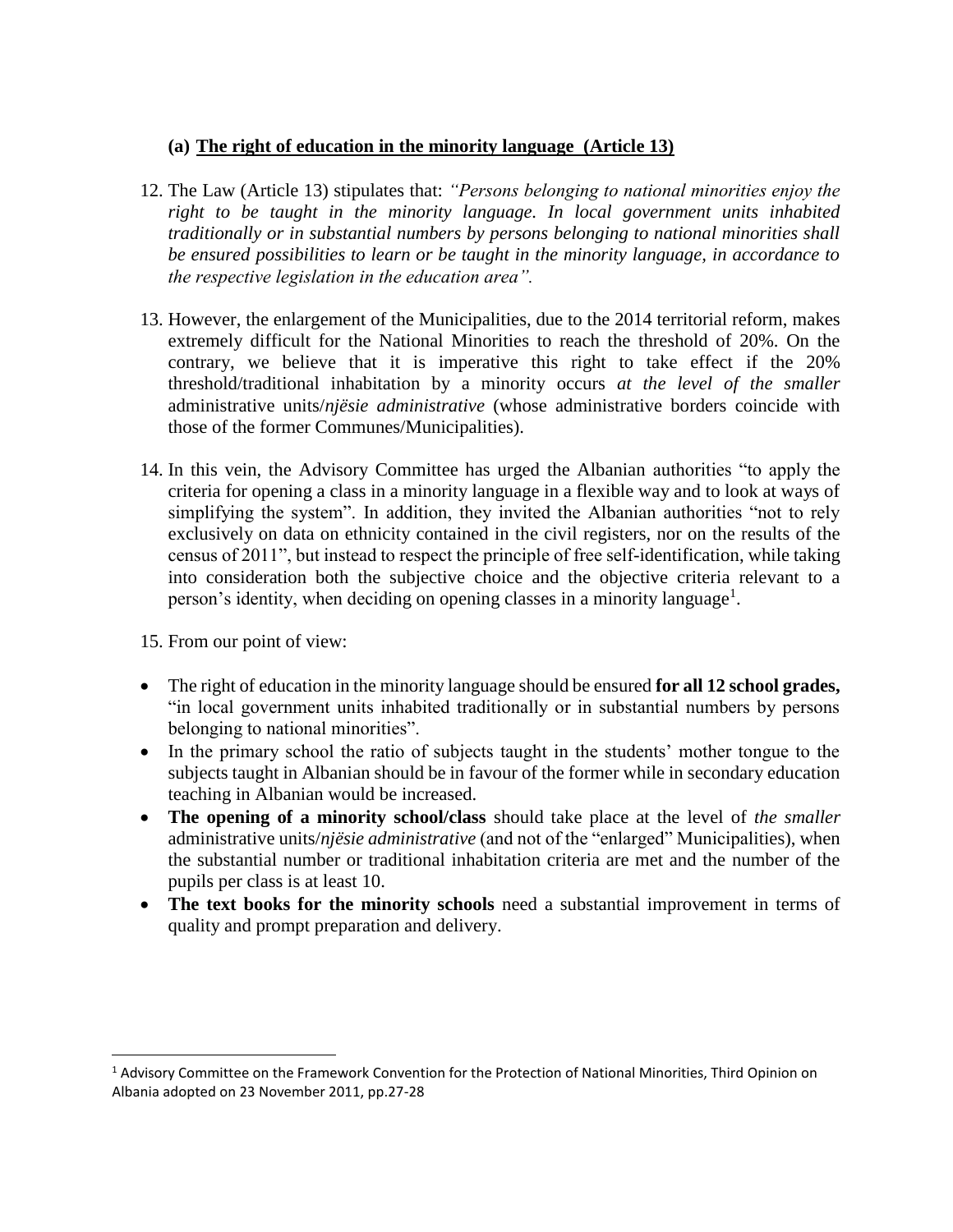### **(a) The right of education in the minority language (Article 13)**

- 12. The Law (Article 13) stipulates that: *"Persons belonging to national minorities enjoy the right to be taught in the minority language. In local government units inhabited traditionally or in substantial numbers by persons belonging to national minorities shall be ensured possibilities to learn or be taught in the minority language, in accordance to the respective legislation in the education area".*
- 13. However, the enlargement of the Municipalities, due to the 2014 territorial reform, makes extremely difficult for the National Minorities to reach the threshold of 20%. On the contrary, we believe that it is imperative this right to take effect if the 20% threshold/traditional inhabitation by a minority occurs *at the level of the smaller*  administrative units/*njësie administrative* (whose administrative borders coincide with those of the former Communes/Municipalities).
- 14. In this vein, the Advisory Committee has urged the Albanian authorities "to apply the criteria for opening a class in a minority language in a flexible way and to look at ways of simplifying the system". In addition, they invited the Albanian authorities "not to rely exclusively on data on ethnicity contained in the civil registers, nor on the results of the census of 2011", but instead to respect the principle of free self-identification, while taking into consideration both the subjective choice and the objective criteria relevant to a person's identity, when deciding on opening classes in a minority language<sup>1</sup>.

15. From our point of view:

 $\overline{a}$ 

- The right of education in the minority language should be ensured **for all 12 school grades,**  "in local government units inhabited traditionally or in substantial numbers by persons belonging to national minorities".
- In the primary school the ratio of subjects taught in the students' mother tongue to the subjects taught in Albanian should be in favour of the former while in secondary education teaching in Albanian would be increased.
- **The opening of a minority school/class** should take place at the level of *the smaller*  administrative units/*njësie administrative* (and not of the "enlarged" Municipalities), when the substantial number or traditional inhabitation criteria are met and the number of the pupils per class is at least 10.
- **The text books for the minority schools** need a substantial improvement in terms of quality and prompt preparation and delivery.

<sup>&</sup>lt;sup>1</sup> Advisory Committee on the Framework Convention for the Protection of National Minorities, Third Opinion on Albania adopted on 23 November 2011, pp.27-28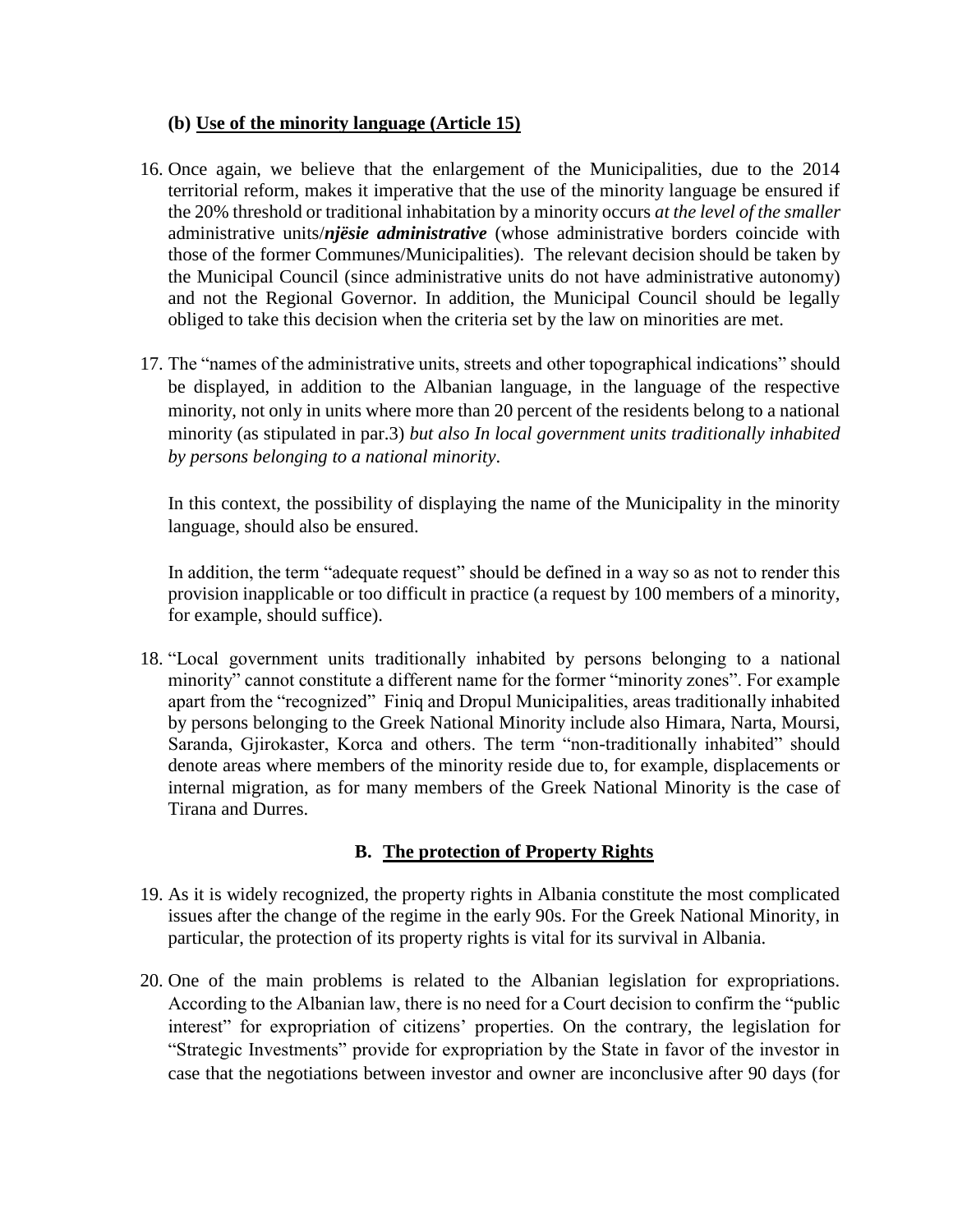#### **(b) Use of the minority language (Article 15)**

- 16. Once again, we believe that the enlargement of the Municipalities, due to the 2014 territorial reform, makes it imperative that the use of the minority language be ensured if the 20% threshold or traditional inhabitation by a minority occurs *at the level of the smaller*  administrative units/*njësie administrative* (whose administrative borders coincide with those of the former Communes/Municipalities). The relevant decision should be taken by the Municipal Council (since administrative units do not have administrative autonomy) and not the Regional Governor. In addition, the Municipal Council should be legally obliged to take this decision when the criteria set by the law on minorities are met.
- 17. The "names of the administrative units, streets and other topographical indications" should be displayed, in addition to the Albanian language, in the language of the respective minority, not only in units where more than 20 percent of the residents belong to a national minority (as stipulated in par.3) *but also In local government units traditionally inhabited by persons belonging to a national minority*.

In this context, the possibility of displaying the name of the Municipality in the minority language, should also be ensured.

In addition, the term "adequate request" should be defined in a way so as not to render this provision inapplicable or too difficult in practice (a request by 100 members of a minority, for example, should suffice).

18. "Local government units traditionally inhabited by persons belonging to a national minority" cannot constitute a different name for the former "minority zones". For example apart from the "recognized" Finiq and Dropul Municipalities, areas traditionally inhabited by persons belonging to the Greek National Minority include also Himara, Narta, Moursi, Saranda, Gjirokaster, Korca and others. The term "non-traditionally inhabited" should denote areas where members of the minority reside due to, for example, displacements or internal migration, as for many members of the Greek National Minority is the case of Tirana and Durres.

## **B. The protection of Property Rights**

- 19. As it is widely recognized, the property rights in Albania constitute the most complicated issues after the change of the regime in the early 90s. For the Greek National Minority, in particular, the protection of its property rights is vital for its survival in Albania.
- 20. One of the main problems is related to the Albanian legislation for expropriations. According to the Albanian law, there is no need for a Court decision to confirm the "public interest" for expropriation of citizens' properties. On the contrary, the legislation for "Strategic Investments" provide for expropriation by the State in favor of the investor in case that the negotiations between investor and owner are inconclusive after 90 days (for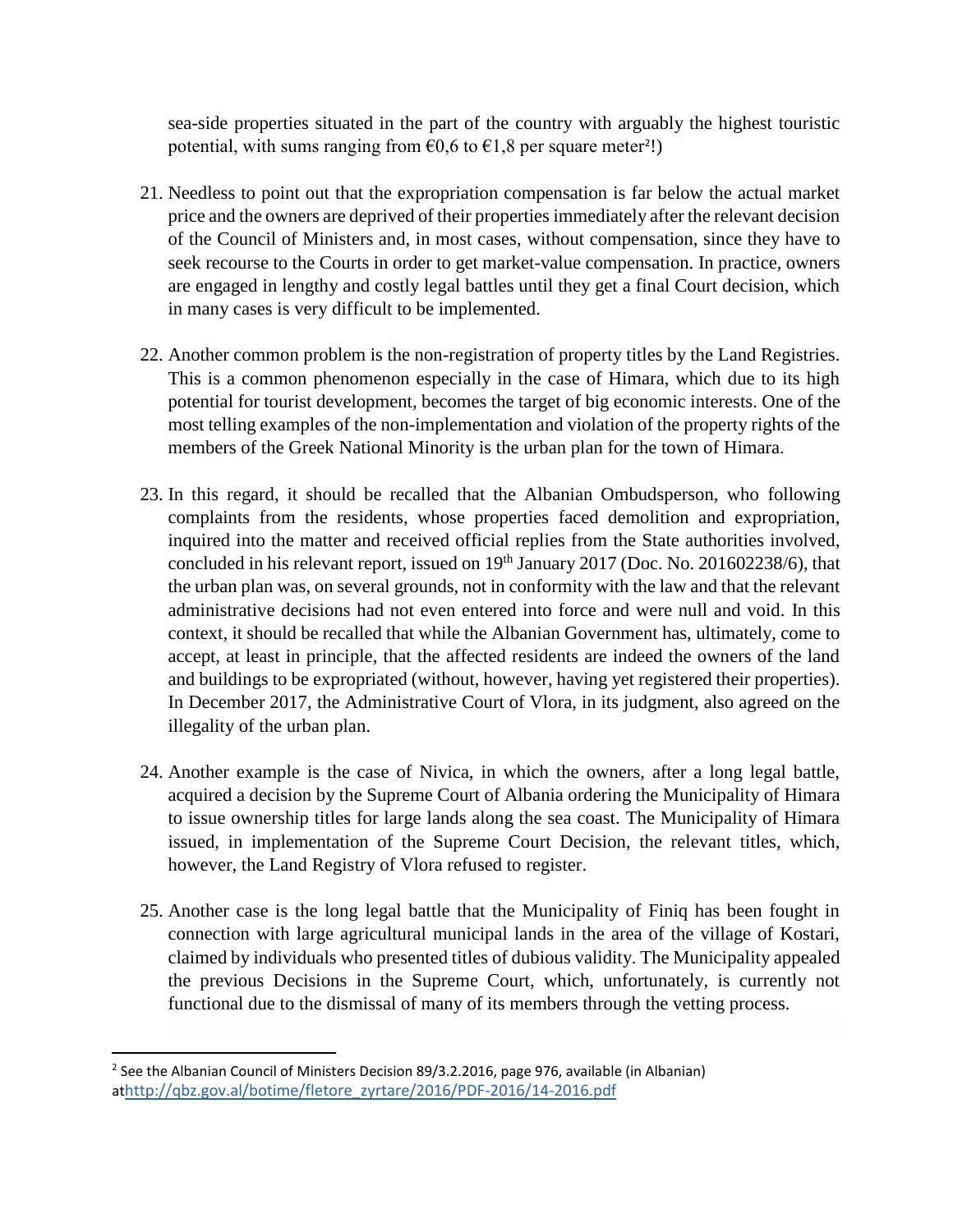sea-side properties situated in the part of the country with arguably the highest touristic potential, with sums ranging from  $\epsilon$ 0,6 to  $\epsilon$ 1,8 per square meter<sup>2</sup>!)

- 21. Needless to point out that the expropriation compensation is far below the actual market price and the owners are deprived of their properties immediately after the relevant decision of the Council of Ministers and, in most cases, without compensation, since they have to seek recourse to the Courts in order to get market-value compensation. In practice, owners are engaged in lengthy and costly legal battles until they get a final Court decision, which in many cases is very difficult to be implemented.
- 22. Another common problem is the non-registration of property titles by the Land Registries. This is a common phenomenon especially in the case of Himara, which due to its high potential for tourist development, becomes the target of big economic interests. One of the most telling examples of the non-implementation and violation of the property rights of the members of the Greek National Minority is the urban plan for the town of Himara.
- 23. In this regard, it should be recalled that the Albanian Ombudsperson, who following complaints from the residents, whose properties faced demolition and expropriation, inquired into the matter and received official replies from the State authorities involved, concluded in his relevant report, issued on 19<sup>th</sup> January 2017 (Doc. No. 201602238/6), that the urban plan was, on several grounds, not in conformity with the law and that the relevant administrative decisions had not even entered into force and were null and void. In this context, it should be recalled that while the Albanian Government has, ultimately, come to accept, at least in principle, that the affected residents are indeed the owners of the land and buildings to be expropriated (without, however, having yet registered their properties). In December 2017, the Administrative Court of Vlora, in its judgment, also agreed on the illegality of the urban plan.
- 24. Another example is the case of Nivica, in which the owners, after a long legal battle, acquired a decision by the Supreme Court of Albania ordering the Municipality of Himara to issue ownership titles for large lands along the sea coast. The Municipality of Himara issued, in implementation of the Supreme Court Decision, the relevant titles, which, however, the Land Registry of Vlora refused to register.
- 25. Another case is the long legal battle that the Municipality of Finiq has been fought in connection with large agricultural municipal lands in the area of the village of Kostari, claimed by individuals who presented titles of dubious validity. The Municipality appealed the previous Decisions in the Supreme Court, which, unfortunately, is currently not functional due to the dismissal of many of its members through the vetting process.

 $\overline{\phantom{a}}$ 

<sup>&</sup>lt;sup>2</sup> See the Albanian Council of Ministers Decision 89/3.2.2016, page 976, available (in Albanian) at[http://qbz.gov.al/botime/fletore\\_zyrtare/2016/PDF-2016/14-2016.pdf](http://qbz.gov.al/botime/fletore_zyrtare/2016/PDF-2016/14-2016.pdf)